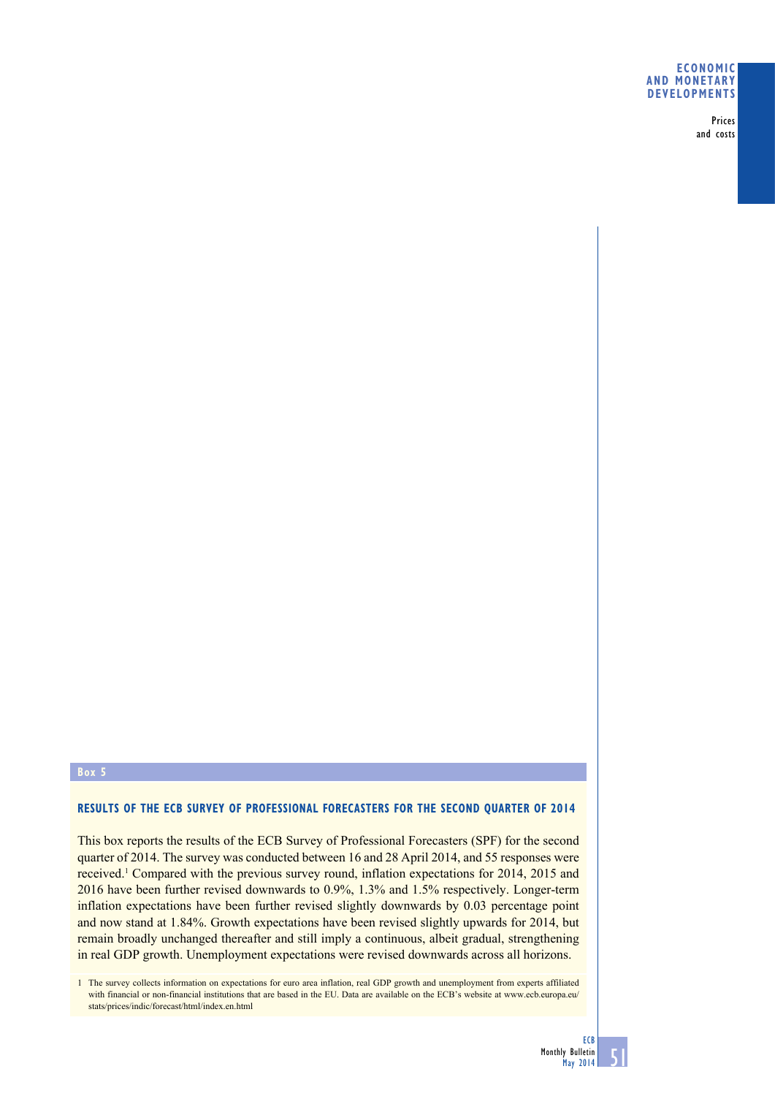### **Economic and monetary developments**

Prices and costs

#### **Box 5**

## **RESULTS OF THE ECB SURVEY OF PROFESSIONAL FORECASTERS FOR THE SECOND QUARTER OF 2014**

This box reports the results of the ECB Survey of Professional Forecasters (SPF) for the second quarter of 2014. The survey was conducted between 16 and 28 April 2014, and 55 responses were received.<sup>1</sup> Compared with the previous survey round, inflation expectations for 2014, 2015 and 2016 have been further revised downwards to 0.9%, 1.3% and 1.5% respectively. Longer-term inflation expectations have been further revised slightly downwards by 0.03 percentage point and now stand at 1.84%. Growth expectations have been revised slightly upwards for 2014, but remain broadly unchanged thereafter and still imply a continuous, albeit gradual, strengthening in real GDP growth. Unemployment expectations were revised downwards across all horizons.

1 The survey collects information on expectations for euro area inflation, real GDP growth and unemployment from experts affiliated with financial or non-financial institutions that are based in the EU. Data are available on the ECB's website at www.ecb.europa.eu/ stats/prices/indic/forecast/html/index.en.html

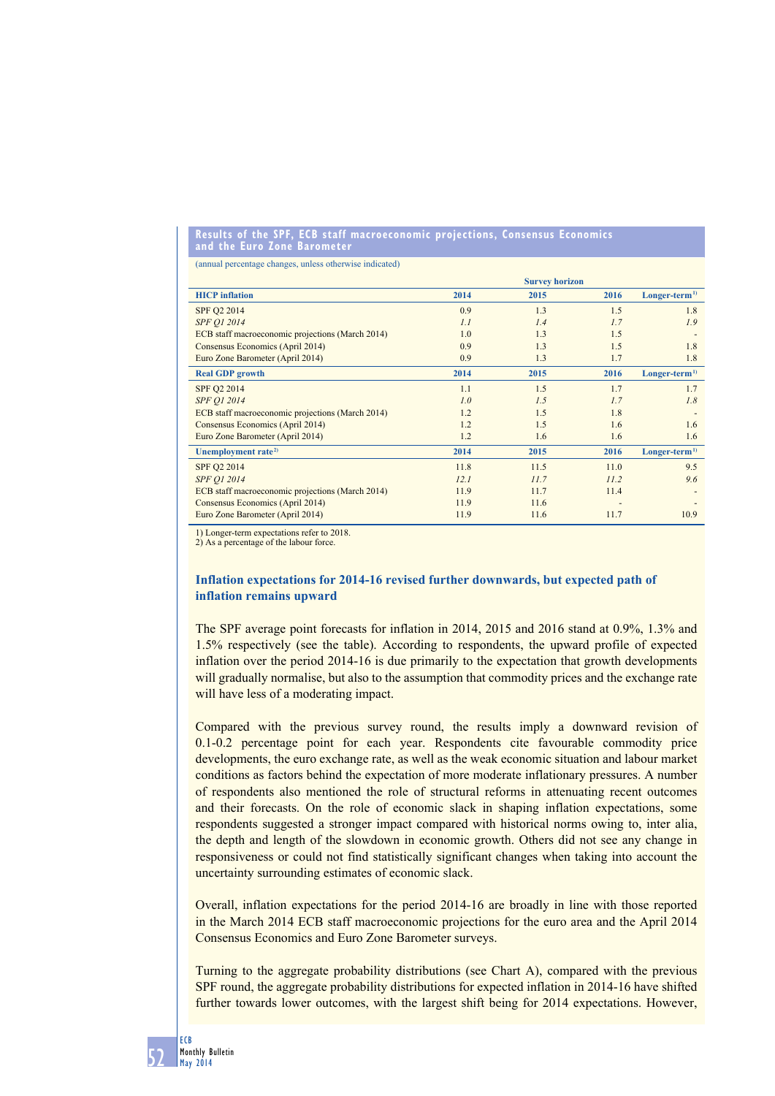#### **results of the spf, ecb staff macroeconomic projections, consensus economics and the euro zone barometer**

(annual percentage changes, unless otherwise indicated)

|                                                  | <b>Survey horizon</b> |      |      |                |
|--------------------------------------------------|-----------------------|------|------|----------------|
| <b>HICP</b> inflation                            | 2014                  | 2015 | 2016 | $Longer-term1$ |
| SPF Q2 2014                                      | 0.9                   | 1.3  | 1.5  | 1.8            |
| <b>SPF O1 2014</b>                               | 1.1                   | 1.4  | 1.7  | 1.9            |
| ECB staff macroeconomic projections (March 2014) | 1.0                   | 1.3  | 1.5  |                |
| Consensus Economics (April 2014)                 | 0.9                   | 1.3  | 1.5  | 1.8            |
| Euro Zone Barometer (April 2014)                 | 0.9                   | 1.3  | 1.7  | 1.8            |
| <b>Real GDP</b> growth                           | 2014                  | 2015 | 2016 | $Longer-term1$ |
| SPF Q2 2014                                      | 1.1                   | 1.5  | 1.7  | 1.7            |
| <b>SPF O1 2014</b>                               | 1.0                   | 1.5  | 1.7  | 1.8            |
| ECB staff macroeconomic projections (March 2014) | 1.2                   | 1.5  | 1.8  |                |
| Consensus Economics (April 2014)                 | 1.2                   | 1.5  | 1.6  | 1.6            |
| Euro Zone Barometer (April 2014)                 | 1.2                   | 1.6  | 1.6  | 1.6            |
| Unemployment rate <sup>2)</sup>                  | 2014                  | 2015 | 2016 | $Longer-term1$ |
| SPF Q2 2014                                      | 11.8                  | 11.5 | 11.0 | 9.5            |
| <b>SPF O1 2014</b>                               | 12.1                  | 11.7 | 11.2 | 9.6            |
| ECB staff macroeconomic projections (March 2014) | 11.9                  | 11.7 | 11.4 |                |
| Consensus Economics (April 2014)                 | 11.9                  | 11.6 |      |                |
| Euro Zone Barometer (April 2014)                 | 11.9                  | 11.6 | 11.7 | 10.9           |

1) Longer-term expectations refer to 2018.

2) As a percentage of the labour force.

# **Inflation expectations for 2014-16 revised further downwards, but expected path of inflation remains upward**

The SPF average point forecasts for inflation in 2014, 2015 and 2016 stand at 0.9%, 1.3% and 1.5% respectively (see the table). According to respondents, the upward profile of expected inflation over the period 2014-16 is due primarily to the expectation that growth developments will gradually normalise, but also to the assumption that commodity prices and the exchange rate will have less of a moderating impact.

Compared with the previous survey round, the results imply a downward revision of 0.1-0.2 percentage point for each year. Respondents cite favourable commodity price developments, the euro exchange rate, as well as the weak economic situation and labour market conditions as factors behind the expectation of more moderate inflationary pressures. A number of respondents also mentioned the role of structural reforms in attenuating recent outcomes and their forecasts. On the role of economic slack in shaping inflation expectations, some respondents suggested a stronger impact compared with historical norms owing to, inter alia, the depth and length of the slowdown in economic growth. Others did not see any change in responsiveness or could not find statistically significant changes when taking into account the uncertainty surrounding estimates of economic slack.

Overall, inflation expectations for the period 2014-16 are broadly in line with those reported in the March 2014 ECB staff macroeconomic projections for the euro area and the April 2014 Consensus Economics and Euro Zone Barometer surveys.

Turning to the aggregate probability distributions (see Chart A), compared with the previous SPF round, the aggregate probability distributions for expected inflation in 2014-16 have shifted further towards lower outcomes, with the largest shift being for 2014 expectations. However,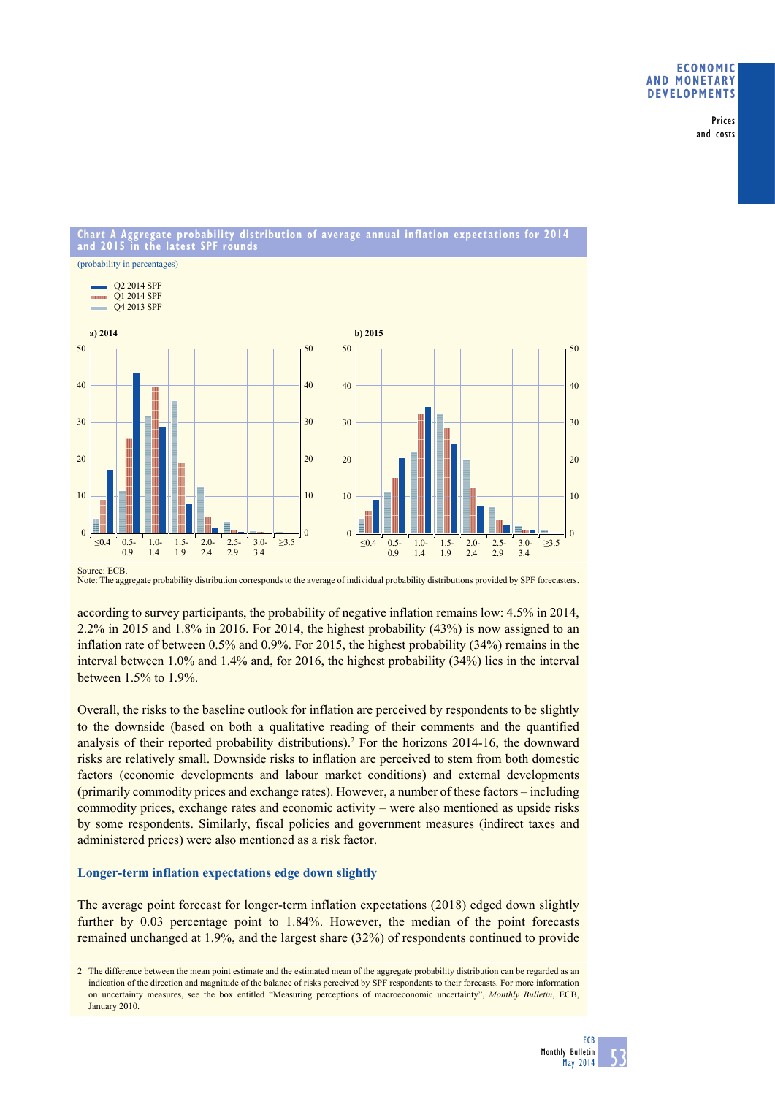## **Economic and monetary developments**

Prices and costs



Note: The aggregate probability distribution corresponds to the average of individual probability distributions provided by SPF forecasters.

according to survey participants, the probability of negative inflation remains low: 4.5% in 2014, 2.2% in 2015 and 1.8% in 2016. For 2014, the highest probability (43%) is now assigned to an inflation rate of between 0.5% and 0.9%. For 2015, the highest probability (34%) remains in the interval between 1.0% and 1.4% and, for 2016, the highest probability (34%) lies in the interval between 1.5% to 1.9%.

Overall, the risks to the baseline outlook for inflation are perceived by respondents to be slightly to the downside (based on both a qualitative reading of their comments and the quantified analysis of their reported probability distributions).<sup>2</sup> For the horizons 2014-16, the downward risks are relatively small. Downside risks to inflation are perceived to stem from both domestic factors (economic developments and labour market conditions) and external developments (primarily commodity prices and exchange rates). However, a number of these factors – including commodity prices, exchange rates and economic activity – were also mentioned as upside risks by some respondents. Similarly, fiscal policies and government measures (indirect taxes and administered prices) were also mentioned as a risk factor.

## **Longer-term inflation expectations edge down slightly**

The average point forecast for longer-term inflation expectations (2018) edged down slightly further by 0.03 percentage point to 1.84%. However, the median of the point forecasts remained unchanged at 1.9%, and the largest share (32%) of respondents continued to provide

<sup>2</sup> The difference between the mean point estimate and the estimated mean of the aggregate probability distribution can be regarded as an indication of the direction and magnitude of the balance of risks perceived by SPF respondents to their forecasts. For more information on uncertainty measures, see the box entitled "Measuring perceptions of macroeconomic uncertainty", *Monthly Bulletin*, ECB, January 2010.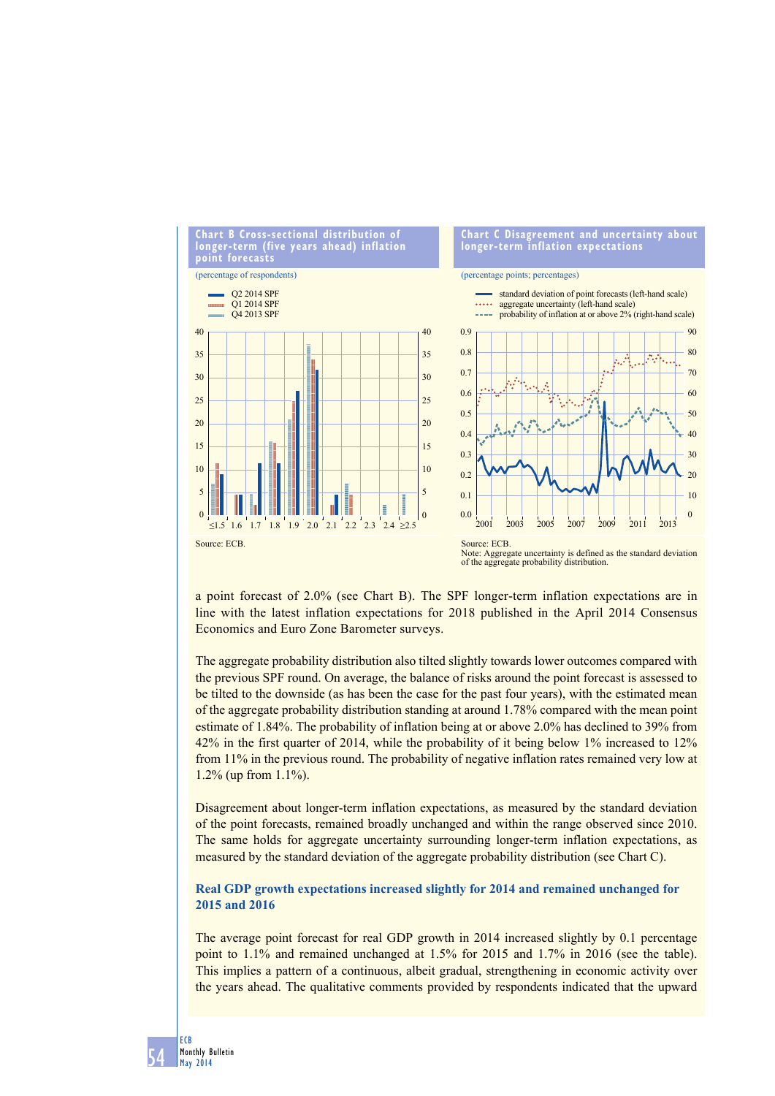

a point forecast of 2.0% (see Chart B). The SPF longer-term inflation expectations are in line with the latest inflation expectations for 2018 published in the April 2014 Consensus Economics and Euro Zone Barometer surveys.

The aggregate probability distribution also tilted slightly towards lower outcomes compared with the previous SPF round. On average, the balance of risks around the point forecast is assessed to be tilted to the downside (as has been the case for the past four years), with the estimated mean of the aggregate probability distribution standing at around 1.78% compared with the mean point estimate of 1.84%. The probability of inflation being at or above 2.0% has declined to 39% from 42% in the first quarter of 2014, while the probability of it being below 1% increased to 12% from 11% in the previous round. The probability of negative inflation rates remained very low at 1.2% (up from 1.1%).

Disagreement about longer-term inflation expectations, as measured by the standard deviation of the point forecasts, remained broadly unchanged and within the range observed since 2010. The same holds for aggregate uncertainty surrounding longer-term inflation expectations, as measured by the standard deviation of the aggregate probability distribution (see Chart C).

# **Real GDP growth expectations increased slightly for 2014 and remained unchanged for 2015 and 2016**

The average point forecast for real GDP growth in 2014 increased slightly by 0.1 percentage point to 1.1% and remained unchanged at 1.5% for 2015 and 1.7% in 2016 (see the table). This implies a pattern of a continuous, albeit gradual, strengthening in economic activity over the years ahead. The qualitative comments provided by respondents indicated that the upward

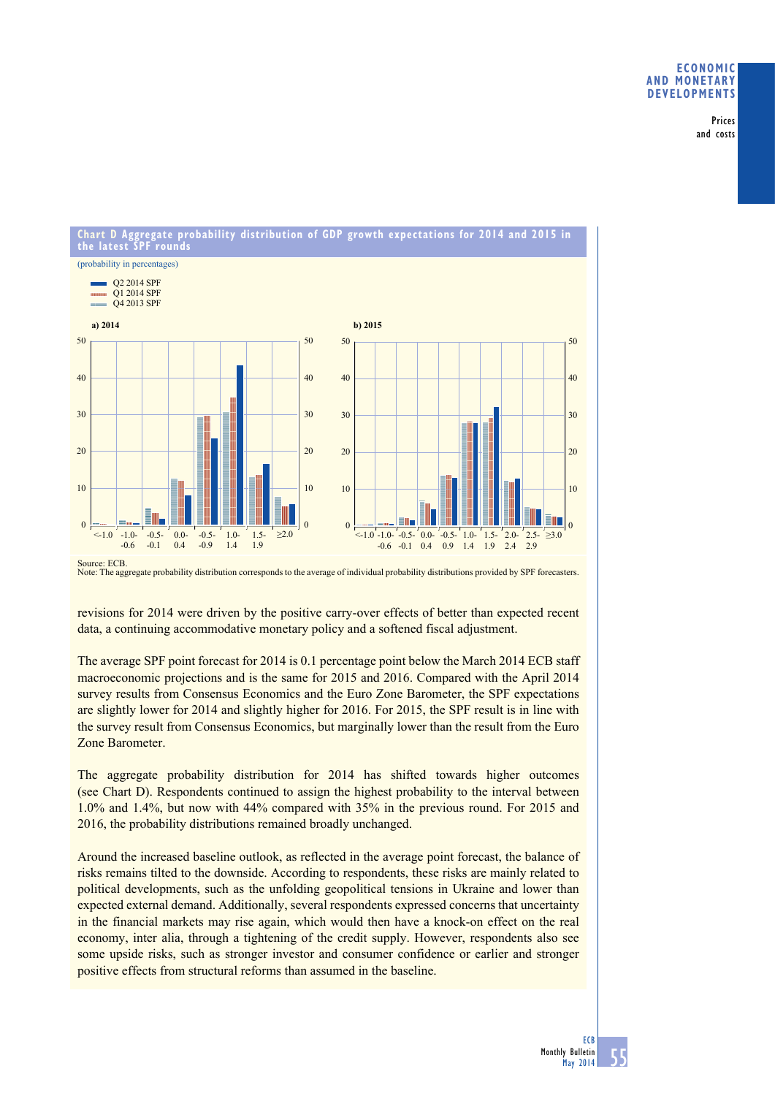## **Economic and monetary developments**

Prices and costs



Source: ECB.

Note: The aggregate probability distribution corresponds to the average of individual probability distributions provided by SPF forecasters.

revisions for 2014 were driven by the positive carry-over effects of better than expected recent data, a continuing accommodative monetary policy and a softened fiscal adjustment.

The average SPF point forecast for 2014 is 0.1 percentage point below the March 2014 ECB staff macroeconomic projections and is the same for 2015 and 2016. Compared with the April 2014 survey results from Consensus Economics and the Euro Zone Barometer, the SPF expectations are slightly lower for 2014 and slightly higher for 2016. For 2015, the SPF result is in line with the survey result from Consensus Economics, but marginally lower than the result from the Euro Zone Barometer.

The aggregate probability distribution for 2014 has shifted towards higher outcomes (see Chart D). Respondents continued to assign the highest probability to the interval between 1.0% and 1.4%, but now with 44% compared with 35% in the previous round. For 2015 and 2016, the probability distributions remained broadly unchanged.

Around the increased baseline outlook, as reflected in the average point forecast, the balance of risks remains tilted to the downside. According to respondents, these risks are mainly related to political developments, such as the unfolding geopolitical tensions in Ukraine and lower than expected external demand. Additionally, several respondents expressed concerns that uncertainty in the financial markets may rise again, which would then have a knock-on effect on the real economy, inter alia, through a tightening of the credit supply. However, respondents also see some upside risks, such as stronger investor and consumer confidence or earlier and stronger positive effects from structural reforms than assumed in the baseline.